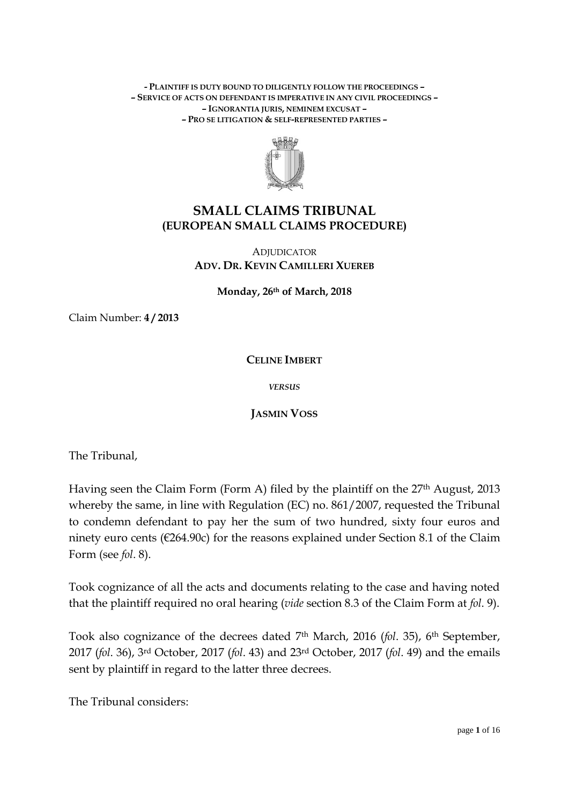#### **- PLAINTIFF IS DUTY BOUND TO DILIGENTLY FOLLOW THE PROCEEDINGS – – SERVICE OF ACTS ON DEFENDANT IS IMPERATIVE IN ANY CIVIL PROCEEDINGS – – IGNORANTIA JURIS, NEMINEM EXCUSAT – – PRO SE LITIGATION & SELF-REPRESENTED PARTIES –**



# **SMALL CLAIMS TRIBUNAL (EUROPEAN SMALL CLAIMS PROCEDURE)**

## **ADJUDICATOR ADV. DR. KEVIN CAMILLERI XUEREB**

**Monday, 26th of March, 2018**

Claim Number: **4 / 2013**

**CELINE IMBERT**

*VERSUS*

**JASMIN VOSS**

The Tribunal,

Having seen the Claim Form (Form A) filed by the plaintiff on the 27<sup>th</sup> August, 2013 whereby the same, in line with Regulation (EC) no. 861/2007, requested the Tribunal to condemn defendant to pay her the sum of two hundred, sixty four euros and ninety euro cents (€264.90c) for the reasons explained under Section 8.1 of the Claim Form (see *fol*. 8).

Took cognizance of all the acts and documents relating to the case and having noted that the plaintiff required no oral hearing (*vide* section 8.3 of the Claim Form at *fol*. 9).

Took also cognizance of the decrees dated 7th March, 2016 (*fol*. 35), 6th September, 2017 (*fol*. 36), 3rd October, 2017 (*fol*. 43) and 23rd October, 2017 (*fol*. 49) and the emails sent by plaintiff in regard to the latter three decrees.

The Tribunal considers: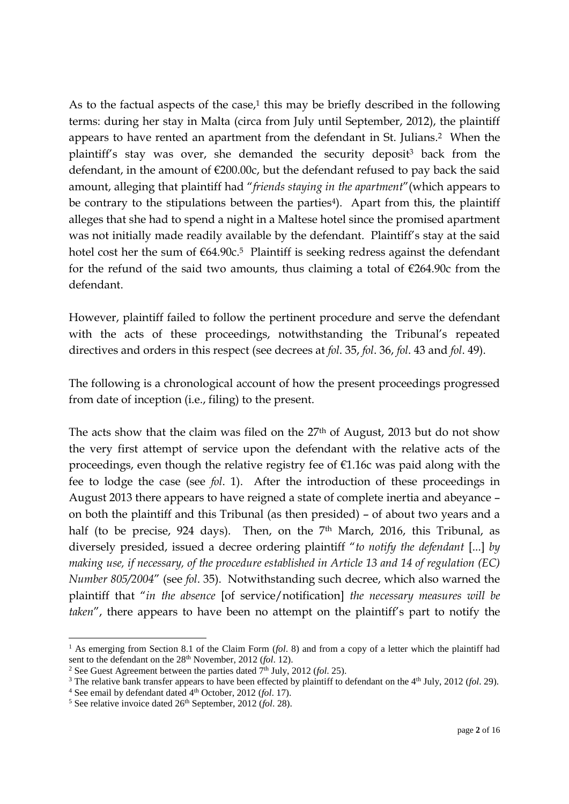As to the factual aspects of the case, $1$  this may be briefly described in the following terms: during her stay in Malta (circa from July until September, 2012), the plaintiff appears to have rented an apartment from the defendant in St. Julians. <sup>2</sup> When the plaintiff's stay was over, she demanded the security deposit<sup>3</sup> back from the defendant, in the amount of  $\epsilon$ 200.00c, but the defendant refused to pay back the said amount, alleging that plaintiff had "*friends staying in the apartment*"(which appears to be contrary to the stipulations between the parties<sup>4</sup>). Apart from this, the plaintiff alleges that she had to spend a night in a Maltese hotel since the promised apartment was not initially made readily available by the defendant. Plaintiff's stay at the said hotel cost her the sum of  $\epsilon$ 64.90c.<sup>5</sup> Plaintiff is seeking redress against the defendant for the refund of the said two amounts, thus claiming a total of  $\epsilon$ 264.90c from the defendant.

However, plaintiff failed to follow the pertinent procedure and serve the defendant with the acts of these proceedings, notwithstanding the Tribunal's repeated directives and orders in this respect (see decrees at *fol*. 35, *fol*. 36, *fol*. 43 and *fol*. 49).

The following is a chronological account of how the present proceedings progressed from date of inception (i.e., filing) to the present.

The acts show that the claim was filed on the 27th of August, 2013 but do not show the very first attempt of service upon the defendant with the relative acts of the proceedings, even though the relative registry fee of  $E1.16c$  was paid along with the fee to lodge the case (see *fol*. 1). After the introduction of these proceedings in August 2013 there appears to have reigned a state of complete inertia and abeyance – on both the plaintiff and this Tribunal (as then presided) – of about two years and a half (to be precise, 924 days). Then, on the 7<sup>th</sup> March, 2016, this Tribunal, as diversely presided, issued a decree ordering plaintiff "*to notify the defendant* [...] *by making use, if necessary, of the procedure established in Article 13 and 14 of regulation (EC) Number 805/2004*" (see *fol*. 35). Notwithstanding such decree, which also warned the plaintiff that "*in the absence* [of service/notification] *the necessary measures will be taken*", there appears to have been no attempt on the plaintiff's part to notify the

**.** 

<sup>&</sup>lt;sup>1</sup> As emerging from Section 8.1 of the Claim Form (*fol.* 8) and from a copy of a letter which the plaintiff had sent to the defendant on the 28<sup>th</sup> November, 2012 (*fol.* 12).

<sup>&</sup>lt;sup>2</sup> See Guest Agreement between the parties dated  $7<sup>th</sup>$  July, 2012 (*fol.* 25).

<sup>&</sup>lt;sup>3</sup> The relative bank transfer appears to have been effected by plaintiff to defendant on the 4<sup>th</sup> July, 2012 (*fol.* 29).

<sup>&</sup>lt;sup>4</sup> See email by defendant dated <sup>4th</sup> October, 2012 (*fol.* 17).

<sup>5</sup> See relative invoice dated 26th September, 2012 (*fol*. 28).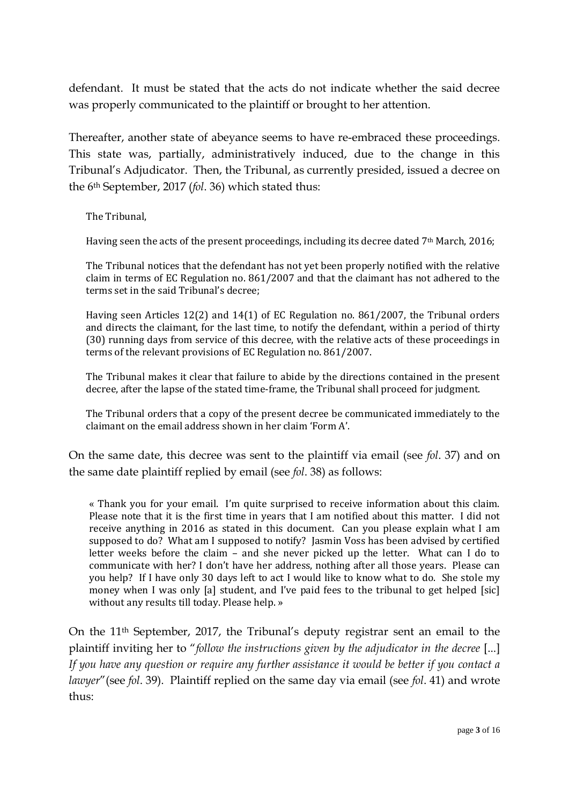defendant. It must be stated that the acts do not indicate whether the said decree was properly communicated to the plaintiff or brought to her attention.

Thereafter, another state of abeyance seems to have re-embraced these proceedings. This state was, partially, administratively induced, due to the change in this Tribunal's Adjudicator. Then, the Tribunal, as currently presided, issued a decree on the 6th September, 2017 (*fol*. 36) which stated thus:

The Tribunal,

Having seen the acts of the present proceedings, including its decree dated 7<sup>th</sup> March, 2016;

The Tribunal notices that the defendant has not yet been properly notified with the relative claim in terms of EC Regulation no. 861/2007 and that the claimant has not adhered to the terms set in the said Tribunal's decree;

Having seen Articles 12(2) and 14(1) of EC Regulation no. 861/2007, the Tribunal orders and directs the claimant, for the last time, to notify the defendant, within a period of thirty (30) running days from service of this decree, with the relative acts of these proceedings in terms of the relevant provisions of EC Regulation no. 861/2007.

The Tribunal makes it clear that failure to abide by the directions contained in the present decree, after the lapse of the stated time-frame, the Tribunal shall proceed for judgment.

The Tribunal orders that a copy of the present decree be communicated immediately to the claimant on the email address shown in her claim 'Form A'.

On the same date, this decree was sent to the plaintiff via email (see *fol*. 37) and on the same date plaintiff replied by email (see *fol*. 38) as follows:

« Thank you for your email. I'm quite surprised to receive information about this claim. Please note that it is the first time in years that I am notified about this matter. I did not receive anything in 2016 as stated in this document. Can you please explain what I am supposed to do? What am I supposed to notify? Jasmin Voss has been advised by certified letter weeks before the claim – and she never picked up the letter. What can I do to communicate with her? I don't have her address, nothing after all those years. Please can you help? If I have only 30 days left to act I would like to know what to do. She stole my money when I was only [a] student, and I've paid fees to the tribunal to get helped [sic] without any results till today. Please help. »

On the 11th September, 2017, the Tribunal's deputy registrar sent an email to the plaintiff inviting her to "*follow the instructions given by the adjudicator in the decree* [...] *If you have any question or require any further assistance it would be better if you contact a lawyer*"(see *fol*. 39). Plaintiff replied on the same day via email (see *fol*. 41) and wrote thus: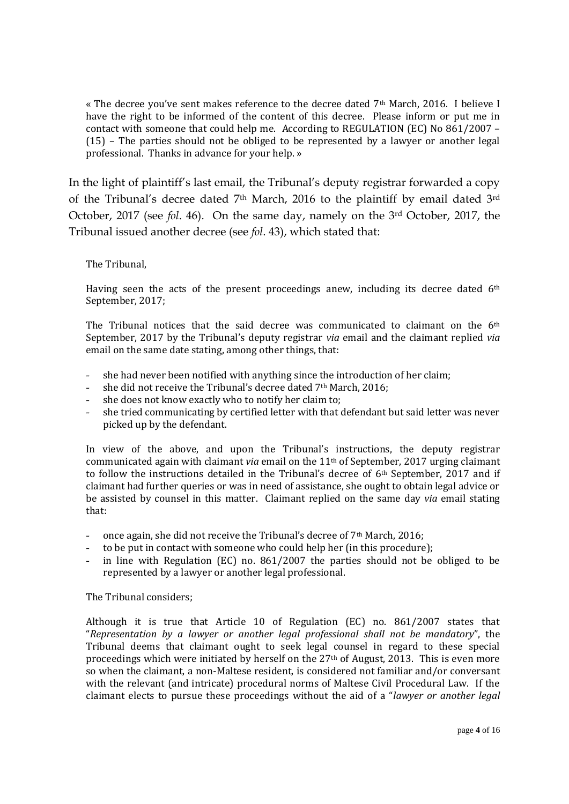« The decree you've sent makes reference to the decree dated 7th March, 2016. I believe I have the right to be informed of the content of this decree. Please inform or put me in contact with someone that could help me. According to REGULATION (EC) No 861/2007 – (15) – The parties should not be obliged to be represented by a lawyer or another legal professional. Thanks in advance for your help. »

In the light of plaintiff's last email, the Tribunal's deputy registrar forwarded a copy of the Tribunal's decree dated 7<sup>th</sup> March, 2016 to the plaintiff by email dated 3<sup>rd</sup> October, 2017 (see *fol*. 46). On the same day, namely on the 3rd October, 2017, the Tribunal issued another decree (see *fol*. 43), which stated that:

### The Tribunal,

Having seen the acts of the present proceedings anew, including its decree dated  $6<sup>th</sup>$ September, 2017;

The Tribunal notices that the said decree was communicated to claimant on the 6th September, 2017 by the Tribunal's deputy registrar *via* email and the claimant replied *via* email on the same date stating, among other things, that:

- she had never been notified with anything since the introduction of her claim;
- she did not receive the Tribunal's decree dated 7<sup>th</sup> March, 2016;
- she does not know exactly who to notify her claim to;
- she tried communicating by certified letter with that defendant but said letter was never picked up by the defendant.

In view of the above, and upon the Tribunal's instructions, the deputy registrar communicated again with claimant *via* email on the 11th of September, 2017 urging claimant to follow the instructions detailed in the Tribunal's decree of 6th September, 2017 and if claimant had further queries or was in need of assistance, she ought to obtain legal advice or be assisted by counsel in this matter. Claimant replied on the same day *via* email stating that:

- once again, she did not receive the Tribunal's decree of  $7<sup>th</sup>$  March, 2016;
- to be put in contact with someone who could help her (in this procedure);
- in line with Regulation (EC) no.  $861/2007$  the parties should not be obliged to be represented by a lawyer or another legal professional.

### The Tribunal considers;

Although it is true that Article 10 of Regulation (EC) no. 861/2007 states that "*Representation by a lawyer or another legal professional shall not be mandatory*", the Tribunal deems that claimant ought to seek legal counsel in regard to these special proceedings which were initiated by herself on the 27th of August, 2013. This is even more so when the claimant, a non-Maltese resident, is considered not familiar and/or conversant with the relevant (and intricate) procedural norms of Maltese Civil Procedural Law. If the claimant elects to pursue these proceedings without the aid of a "*lawyer or another legal*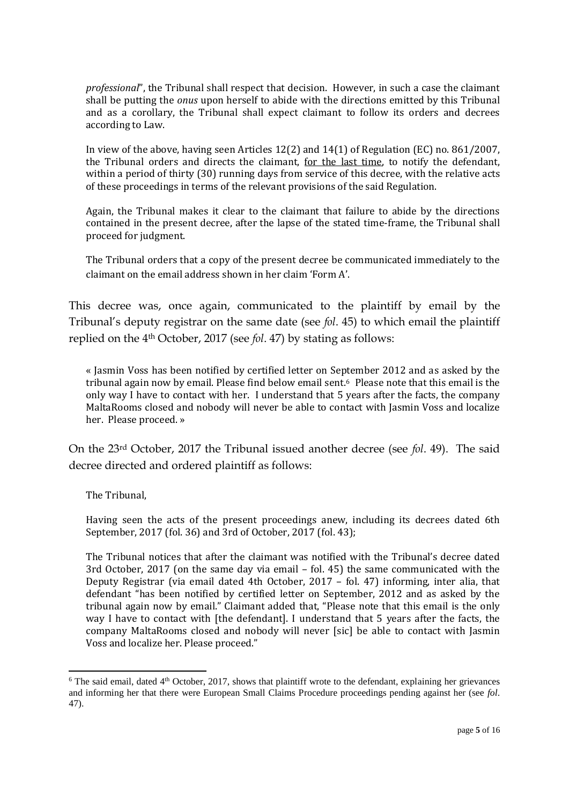*professional*", the Tribunal shall respect that decision. However, in such a case the claimant shall be putting the *onus* upon herself to abide with the directions emitted by this Tribunal and as a corollary, the Tribunal shall expect claimant to follow its orders and decrees according to Law.

In view of the above, having seen Articles 12(2) and 14(1) of Regulation (EC) no. 861/2007, the Tribunal orders and directs the claimant, for the last time, to notify the defendant, within a period of thirty (30) running days from service of this decree, with the relative acts of these proceedings in terms of the relevant provisions of the said Regulation.

Again, the Tribunal makes it clear to the claimant that failure to abide by the directions contained in the present decree, after the lapse of the stated time-frame, the Tribunal shall proceed for judgment.

The Tribunal orders that a copy of the present decree be communicated immediately to the claimant on the email address shown in her claim 'Form A'.

This decree was, once again, communicated to the plaintiff by email by the Tribunal's deputy registrar on the same date (see *fol*. 45) to which email the plaintiff replied on the 4th October, 2017 (see *fol*. 47) by stating as follows:

« Jasmin Voss has been notified by certified letter on September 2012 and as asked by the tribunal again now by email. Please find below email sent.6 Please note that this email is the only way I have to contact with her. I understand that 5 years after the facts, the company MaltaRooms closed and nobody will never be able to contact with Jasmin Voss and localize her. Please proceed. »

On the 23rd October, 2017 the Tribunal issued another decree (see *fol*. 49). The said decree directed and ordered plaintiff as follows:

The Tribunal,

 $\overline{a}$ 

Having seen the acts of the present proceedings anew, including its decrees dated 6th September, 2017 (fol. 36) and 3rd of October, 2017 (fol. 43);

The Tribunal notices that after the claimant was notified with the Tribunal's decree dated 3rd October, 2017 (on the same day via email – fol. 45) the same communicated with the Deputy Registrar (via email dated 4th October, 2017 – fol. 47) informing, inter alia, that defendant "has been notified by certified letter on September, 2012 and as asked by the tribunal again now by email." Claimant added that, "Please note that this email is the only way I have to contact with [the defendant]. I understand that 5 years after the facts, the company MaltaRooms closed and nobody will never [sic] be able to contact with Jasmin Voss and localize her. Please proceed."

 $6$  The said email, dated  $4<sup>th</sup>$  October, 2017, shows that plaintiff wrote to the defendant, explaining her grievances and informing her that there were European Small Claims Procedure proceedings pending against her (see *fol*. 47).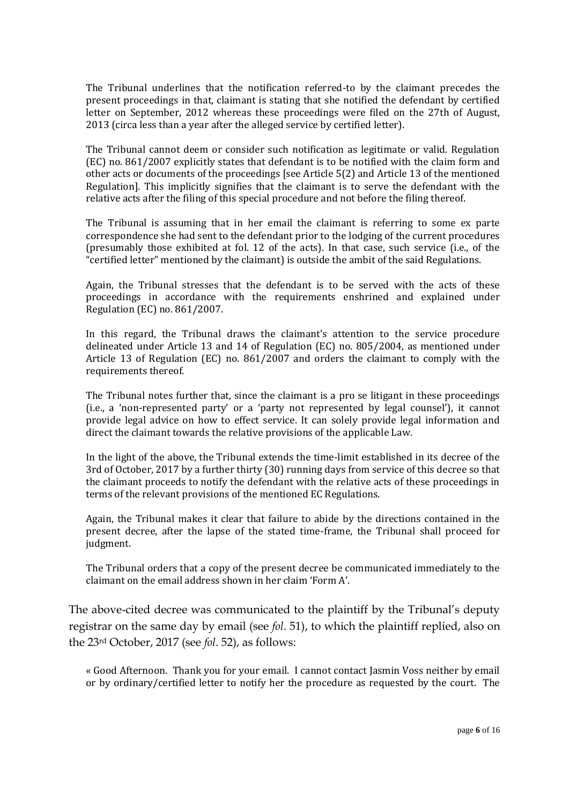The Tribunal underlines that the notification referred-to by the claimant precedes the present proceedings in that, claimant is stating that she notified the defendant by certified letter on September, 2012 whereas these proceedings were filed on the 27th of August, 2013 (circa less than a year after the alleged service by certified letter).

The Tribunal cannot deem or consider such notification as legitimate or valid. Regulation (EC) no. 861/2007 explicitly states that defendant is to be notified with the claim form and other acts or documents of the proceedings [see Article 5(2) and Article 13 of the mentioned Regulation]. This implicitly signifies that the claimant is to serve the defendant with the relative acts after the filing of this special procedure and not before the filing thereof.

The Tribunal is assuming that in her email the claimant is referring to some ex parte correspondence she had sent to the defendant prior to the lodging of the current procedures (presumably those exhibited at fol. 12 of the acts). In that case, such service (i.e., of the "certified letter" mentioned by the claimant) is outside the ambit of the said Regulations.

Again, the Tribunal stresses that the defendant is to be served with the acts of these proceedings in accordance with the requirements enshrined and explained under Regulation (EC) no. 861/2007.

In this regard, the Tribunal draws the claimant's attention to the service procedure delineated under Article 13 and 14 of Regulation (EC) no. 805/2004, as mentioned under Article 13 of Regulation (EC) no. 861/2007 and orders the claimant to comply with the requirements thereof.

The Tribunal notes further that, since the claimant is a pro se litigant in these proceedings (i.e., a 'non-represented party' or a 'party not represented by legal counsel'), it cannot provide legal advice on how to effect service. It can solely provide legal information and direct the claimant towards the relative provisions of the applicable Law.

In the light of the above, the Tribunal extends the time-limit established in its decree of the 3rd of October, 2017 by a further thirty (30) running days from service of this decree so that the claimant proceeds to notify the defendant with the relative acts of these proceedings in terms of the relevant provisions of the mentioned EC Regulations.

Again, the Tribunal makes it clear that failure to abide by the directions contained in the present decree, after the lapse of the stated time-frame, the Tribunal shall proceed for judgment.

The Tribunal orders that a copy of the present decree be communicated immediately to the claimant on the email address shown in her claim 'Form A'.

The above-cited decree was communicated to the plaintiff by the Tribunal's deputy registrar on the same day by email (see *fol*. 51), to which the plaintiff replied, also on the 23rd October, 2017 (see *fol*. 52), as follows:

« Good Afternoon. Thank you for your email. I cannot contact Jasmin Voss neither by email or by ordinary/certified letter to notify her the procedure as requested by the court. The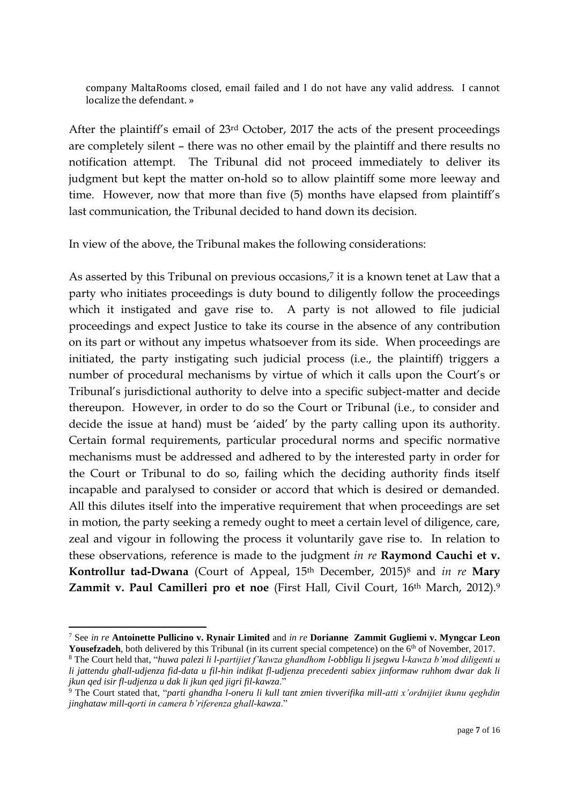company MaltaRooms closed, email failed and I do not have any valid address. I cannot localize the defendant. »

After the plaintiff's email of 23rd October, 2017 the acts of the present proceedings are completely silent – there was no other email by the plaintiff and there results no notification attempt. The Tribunal did not proceed immediately to deliver its judgment but kept the matter on-hold so to allow plaintiff some more leeway and time. However, now that more than five (5) months have elapsed from plaintiff's last communication, the Tribunal decided to hand down its decision.

In view of the above, the Tribunal makes the following considerations:

As asserted by this Tribunal on previous occasions, <sup>7</sup> it is a known tenet at Law that a party who initiates proceedings is duty bound to diligently follow the proceedings which it instigated and gave rise to. A party is not allowed to file judicial proceedings and expect Justice to take its course in the absence of any contribution on its part or without any impetus whatsoever from its side. When proceedings are initiated, the party instigating such judicial process (i.e., the plaintiff) triggers a number of procedural mechanisms by virtue of which it calls upon the Court's or Tribunal's jurisdictional authority to delve into a specific subject-matter and decide thereupon. However, in order to do so the Court or Tribunal (i.e., to consider and decide the issue at hand) must be 'aided' by the party calling upon its authority. Certain formal requirements, particular procedural norms and specific normative mechanisms must be addressed and adhered to by the interested party in order for the Court or Tribunal to do so, failing which the deciding authority finds itself incapable and paralysed to consider or accord that which is desired or demanded. All this dilutes itself into the imperative requirement that when proceedings are set in motion, the party seeking a remedy ought to meet a certain level of diligence, care, zeal and vigour in following the process it voluntarily gave rise to. In relation to these observations, reference is made to the judgment *in re* **Raymond Cauchi et v. Kontrollur tad-Dwana** (Court of Appeal, 15th December, 2015)<sup>8</sup> and *in re* **Mary Zammit v. Paul Camilleri pro et noe** (First Hall, Civil Court, 16<sup>th</sup> March, 2012).<sup>9</sup>

**<sup>.</sup>** <sup>7</sup> See *in re* **Antoinette Pullicino v. Rynair Limited** and *in re* **Dorianne Zammit Gugliemi v. Myngcar Leon**  Yousefzadeh, both delivered by this Tribunal (in its current special competence) on the 6<sup>th</sup> of November, 2017.

<sup>8</sup> The Court held that, "*huwa palezi li l-partijiet f'kawza ghandhom l-obbligu li jsegwu l-kawza b'mod diligenti u li jattendu ghall-udjenza fid-data u fil-hin indikat fl-udjenza precedenti sabiex jinformaw ruhhom dwar dak li jkun qed isir fl-udjenza u dak li jkun qed jigri fil-kawza*."

<sup>9</sup> The Court stated that, "*parti ghandha l-oneru li kull tant zmien tivverifika mill-atti x'ordnijiet ikunu qeghdin jinghataw mill-qorti in camera b'riferenza ghall-kawza*."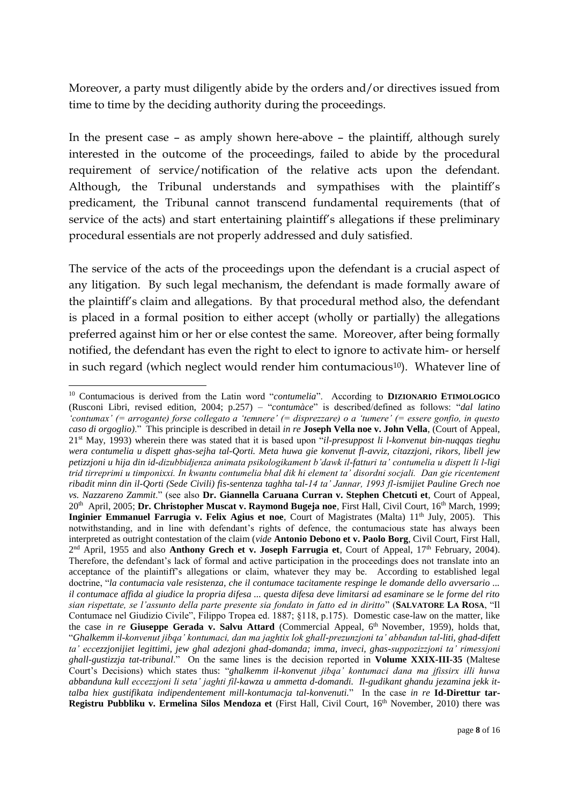Moreover, a party must diligently abide by the orders and/or directives issued from time to time by the deciding authority during the proceedings.

In the present case – as amply shown here-above – the plaintiff, although surely interested in the outcome of the proceedings, failed to abide by the procedural requirement of service/notification of the relative acts upon the defendant. Although, the Tribunal understands and sympathises with the plaintiff's predicament, the Tribunal cannot transcend fundamental requirements (that of service of the acts) and start entertaining plaintiff's allegations if these preliminary procedural essentials are not properly addressed and duly satisfied.

The service of the acts of the proceedings upon the defendant is a crucial aspect of any litigation. By such legal mechanism, the defendant is made formally aware of the plaintiff's claim and allegations. By that procedural method also, the defendant is placed in a formal position to either accept (wholly or partially) the allegations preferred against him or her or else contest the same. Moreover, after being formally notified, the defendant has even the right to elect to ignore to activate him- or herself in such regard (which neglect would render him contumacious<sup>10</sup>). Whatever line of

**.** 

<sup>10</sup> Contumacious is derived from the Latin word "*contumelia*". According to **DIZIONARIO ETIMOLOGICO** (Rusconi Libri, revised edition, 2004; p.257) – "*contumàce*" is described/defined as follows: "*dal latino 'contumax' (= arrogante) forse collegato a 'temnere' (= disprezzare) o a 'tumere' (= essere gonfio, in questo caso di orgoglio)*." This principle is described in detail *in re* **Joseph Vella noe v. John Vella**, (Court of Appeal, 21st May, 1993) wherein there was stated that it is based upon "*il-presuppost li l-konvenut bin-nuqqas tieghu wera contumelia u dispett ghas-sejha tal-Qorti. Meta huwa gie konvenut fl-avviz, citazzjoni, rikors, libell jew petizzjoni u hija din id-dizubbidjenza animata psikologikament b'dawk il-fatturi ta' contumelia u dispett li l-ligi trid tirreprimi u timponixxi. In kwantu contumelia bhal dik hi element ta' disordni socjali. Dan gie ricentement ribadit minn din il-Qorti (Sede Civili) fis-sentenza taghha tal-14 ta' Jannar, 1993 fl-ismijiet Pauline Grech noe vs. Nazzareno Zammit*." (see also **Dr. Giannella Caruana Curran v. Stephen Chetcuti et**, Court of Appeal, 20<sup>th</sup> April, 2005; **Dr. Christopher Muscat v. Raymond Bugeja noe**, First Hall, Civil Court, 16<sup>th</sup> March, 1999; Inginier Emmanuel Farrugia v. Felix Agius et noe, Court of Magistrates (Malta) 11<sup>th</sup> July, 2005). This notwithstanding, and in line with defendant's rights of defence, the contumacious state has always been interpreted as outright contestation of the claim (*vide* **Antonio Debono et v. Paolo Borg**, Civil Court, First Hall, 2<sup>nd</sup> April, 1955 and also **Anthony Grech et v. Joseph Farrugia et**, Court of Appeal, 17<sup>th</sup> February, 2004). Therefore, the defendant's lack of formal and active participation in the proceedings does not translate into an acceptance of the plaintiff's allegations or claim, whatever they may be. According to established legal doctrine, "*la contumacia vale resistenza, che il contumace tacitamente respinge le domande dello avversario ... il contumace affida al giudice la propria difesa ... questa difesa deve limitarsi ad esaminare se le forme del rito sian rispettate, se l'assunto della parte presente sia fondato in fatto ed in diritto*" (**SALVATORE LA ROSA**, "Il Contumace nel Giudizio Civile", Filippo Tropea ed. 1887; §118, p.175). Domestic case-law on the matter, like the case *in re* Giuseppe Gerada v. Salvu Attard (Commercial Appeal, 6<sup>th</sup> November, 1959), holds that, "*Ghalkemm il-konvenut jibqa' kontumaci, dan ma jaghtix lok ghall-prezunzjoni ta' abbandun tal-liti, ghad-difett ta' eccezzjonijiet legittimi, jew ghal adezjoni ghad-domanda; imma, inveci, ghas-suppozizzjoni ta' rimessjoni ghall-gustizzja tat-tribunal*." On the same lines is the decision reported in **Volume XXIX-III-35** (Maltese Court's Decisions) which states thus: "*ghalkemm il-konvenut jibqa' kontumaci dana ma jfissirx illi huwa abbanduna kull eccezzjoni li seta' jaghti fil-kawza u ammetta d-domandi. Il-gudikant ghandu jezamina jekk ittalba hiex gustifikata indipendentement mill-kontumacja tal-konvenuti.*" In the case *in re* **Id-Direttur tar-Registru Pubbliku v. Ermelina Silos Mendoza et** (First Hall, Civil Court, 16th November, 2010) there was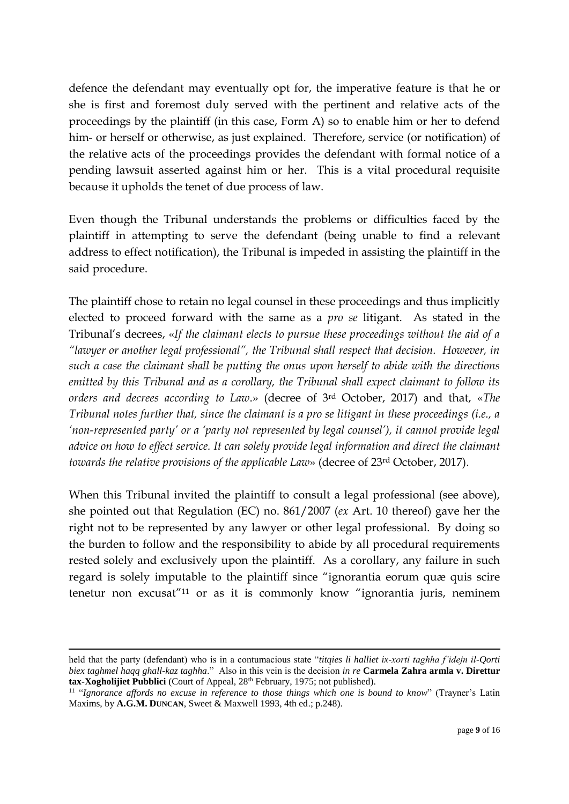defence the defendant may eventually opt for, the imperative feature is that he or she is first and foremost duly served with the pertinent and relative acts of the proceedings by the plaintiff (in this case, Form A) so to enable him or her to defend him- or herself or otherwise, as just explained. Therefore, service (or notification) of the relative acts of the proceedings provides the defendant with formal notice of a pending lawsuit asserted against him or her. This is a vital procedural requisite because it upholds the tenet of due process of law.

Even though the Tribunal understands the problems or difficulties faced by the plaintiff in attempting to serve the defendant (being unable to find a relevant address to effect notification), the Tribunal is impeded in assisting the plaintiff in the said procedure.

The plaintiff chose to retain no legal counsel in these proceedings and thus implicitly elected to proceed forward with the same as a *pro se* litigant. As stated in the Tribunal's decrees, «*If the claimant elects to pursue these proceedings without the aid of a "lawyer or another legal professional", the Tribunal shall respect that decision. However, in such a case the claimant shall be putting the onus upon herself to abide with the directions emitted by this Tribunal and as a corollary, the Tribunal shall expect claimant to follow its orders and decrees according to Law*.» (decree of 3rd October, 2017) and that, «*The Tribunal notes further that, since the claimant is a pro se litigant in these proceedings (i.e., a 'non-represented party' or a 'party not represented by legal counsel'), it cannot provide legal advice on how to effect service. It can solely provide legal information and direct the claimant towards the relative provisions of the applicable Law*» (decree of 23rd October, 2017).

When this Tribunal invited the plaintiff to consult a legal professional (see above), she pointed out that Regulation (EC) no. 861/2007 (*ex* Art. 10 thereof) gave her the right not to be represented by any lawyer or other legal professional. By doing so the burden to follow and the responsibility to abide by all procedural requirements rested solely and exclusively upon the plaintiff. As a corollary, any failure in such regard is solely imputable to the plaintiff since "ignorantia eorum quæ quis scire tenetur non excusat"<sup>11</sup> or as it is commonly know "ignorantia juris, neminem

1

held that the party (defendant) who is in a contumacious state "*titqies li halliet ix-xorti taghha f'idejn il-Qorti biex taghmel haqq ghall-kaz taghha*." Also in this vein is the decision *in re* **Carmela Zahra armla v. Direttur**  tax-Xogholijiet Pubblici (Court of Appeal, 28<sup>th</sup> February, 1975; not published).

<sup>&</sup>lt;sup>11</sup> "Ignorance affords no excuse in reference to those things which one is bound to know" (Trayner's Latin Maxims, by **A.G.M. DUNCAN**, Sweet & Maxwell 1993, 4th ed.; p.248).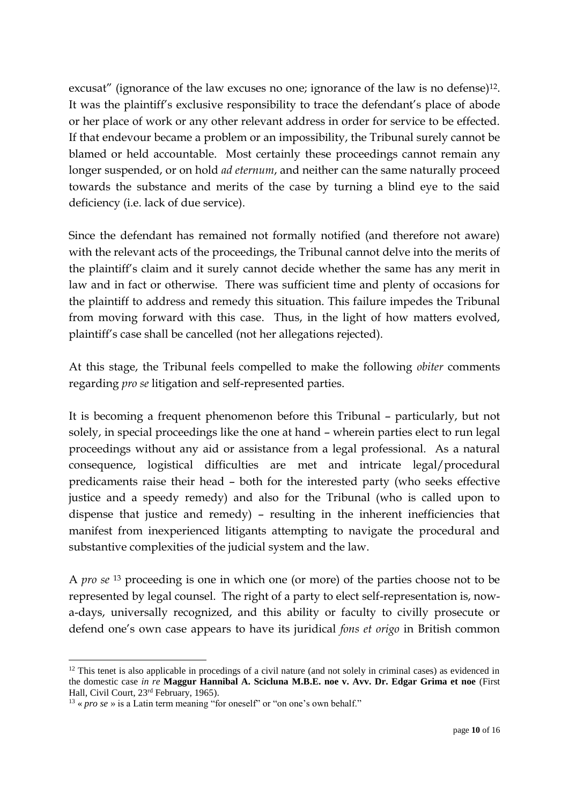excusat" (ignorance of the law excuses no one; ignorance of the law is no defense)<sup>12</sup>. It was the plaintiff's exclusive responsibility to trace the defendant's place of abode or her place of work or any other relevant address in order for service to be effected. If that endevour became a problem or an impossibility, the Tribunal surely cannot be blamed or held accountable. Most certainly these proceedings cannot remain any longer suspended, or on hold *ad eternum*, and neither can the same naturally proceed towards the substance and merits of the case by turning a blind eye to the said deficiency (i.e. lack of due service).

Since the defendant has remained not formally notified (and therefore not aware) with the relevant acts of the proceedings, the Tribunal cannot delve into the merits of the plaintiff's claim and it surely cannot decide whether the same has any merit in law and in fact or otherwise. There was sufficient time and plenty of occasions for the plaintiff to address and remedy this situation. This failure impedes the Tribunal from moving forward with this case. Thus, in the light of how matters evolved, plaintiff's case shall be cancelled (not her allegations rejected).

At this stage, the Tribunal feels compelled to make the following *obiter* comments regarding *pro se* litigation and self-represented parties.

It is becoming a frequent phenomenon before this Tribunal – particularly, but not solely, in special proceedings like the one at hand – wherein parties elect to run legal proceedings without any aid or assistance from a legal professional. As a natural consequence, logistical difficulties are met and intricate legal/procedural predicaments raise their head – both for the interested party (who seeks effective justice and a speedy remedy) and also for the Tribunal (who is called upon to dispense that justice and remedy) – resulting in the inherent inefficiencies that manifest from inexperienced litigants attempting to navigate the procedural and substantive complexities of the judicial system and the law.

A *pro se* <sup>13</sup> proceeding is one in which one (or more) of the parties choose not to be represented by legal counsel. The right of a party to elect self-representation is, nowa-days, universally recognized, and this ability or faculty to civilly prosecute or defend one's own case appears to have its juridical *fons et origo* in British common

**<sup>.</sup>**  $12$  This tenet is also applicable in procedings of a civil nature (and not solely in criminal cases) as evidenced in the domestic case *in re* **Maggur Hannibal A. Scicluna M.B.E. noe v. Avv. Dr. Edgar Grima et noe** (First Hall, Civil Court, 23rd February, 1965).

 $13$  « *pro se* » is a Latin term meaning "for oneself" or "on one's own behalf."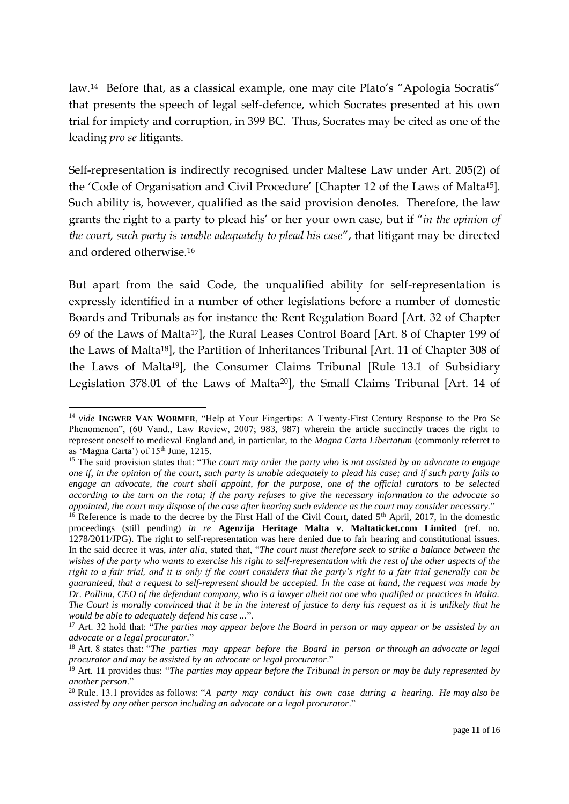law.<sup>14</sup> Before that, as a classical example, one may cite Plato's "Apologia Socratis" that presents the speech of legal self-defence, which Socrates presented at his own trial for impiety and corruption, in 399 BC. Thus, Socrates may be cited as one of the leading *pro se* litigants.

Self-representation is indirectly recognised under Maltese Law under Art. 205(2) of the 'Code of Organisation and Civil Procedure' [Chapter 12 of the Laws of Malta15]. Such ability is, however, qualified as the said provision denotes. Therefore, the law grants the right to a party to plead his' or her your own case, but if "*in the opinion of the court, such party is unable adequately to plead his case*", that litigant may be directed and ordered otherwise.<sup>16</sup>

But apart from the said Code, the unqualified ability for self-representation is expressly identified in a number of other legislations before a number of domestic Boards and Tribunals as for instance the Rent Regulation Board [Art. 32 of Chapter 69 of the Laws of Malta17], the Rural Leases Control Board [Art. 8 of Chapter 199 of the Laws of Malta18], the Partition of Inheritances Tribunal [Art. 11 of Chapter 308 of the Laws of Malta19], the Consumer Claims Tribunal [Rule 13.1 of Subsidiary Legislation 378.01 of the Laws of Malta20], the Small Claims Tribunal [Art. 14 of

<sup>1</sup> <sup>14</sup> *vide* **INGWER VAN WORMER**, "Help at Your Fingertips: A Twenty-First Century Response to the Pro Se Phenomenon", (60 Vand., Law Review, 2007; 983, 987) wherein the article succinctly traces the right to represent oneself to medieval England and, in particular, to the *Magna Carta Libertatum* (commonly referret to as 'Magna Carta') of 15<sup>th</sup> June, 1215.

<sup>15</sup> The said provision states that: "*The court may order the party who is not assisted by an advocate to engage one if, in the opinion of the court, such party is unable adequately to plead his case; and if such party fails to engage an advocate, the court shall appoint, for the purpose, one of the official curators to be selected according to the turn on the rota; if the party refuses to give the necessary information to the advocate so appointed, the court may dispose of the case after hearing such evidence as the court may consider necessary.*"

 $16$  Reference is made to the decree by the First Hall of the Civil Court, dated 5<sup>th</sup> April, 2017, in the domestic proceedings (still pending) *in re* **Agenzija Heritage Malta v. Maltaticket.com Limited** (ref. no. 1278/2011/JPG). The right to self-representation was here denied due to fair hearing and constitutional issues. In the said decree it was, *inter alia*, stated that, "*The court must therefore seek to strike a balance between the wishes of the party who wants to exercise his right to self-representation with the rest of the other aspects of the right to a fair trial, and it is only if the court considers that the party's right to a fair trial generally can be guaranteed, that a request to self-represent should be accepted. In the case at hand, the request was made by Dr. Pollina, CEO of the defendant company, who is a lawyer albeit not one who qualified or practices in Malta. The Court is morally convinced that it be in the interest of justice to deny his request as it is unlikely that he would be able to adequately defend his case ...*".

<sup>&</sup>lt;sup>17</sup> Art. 32 hold that: "*The parties may appear before the Board in person or may appear or be assisted by an advocate or a legal procurator.*"

<sup>18</sup> Art. 8 states that: "*The parties may appear before the Board in person or through an advocate or legal procurator and may be assisted by an advocate or legal procurator*."

<sup>19</sup> Art. 11 provides thus: "*The parties may appear before the Tribunal in person or may be duly represented by another person*."

<sup>20</sup> Rule. 13.1 provides as follows: "*A party may conduct his own case during a hearing. He may also be assisted by any other person including an advocate or a legal procurator*."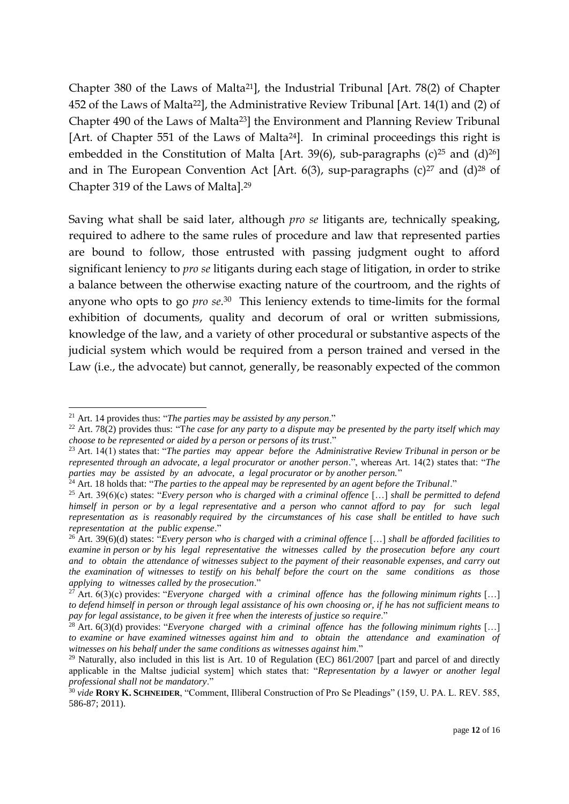Chapter 380 of the Laws of Malta21], the Industrial Tribunal [Art. 78(2) of Chapter 452 of the Laws of Malta22], the Administrative Review Tribunal [Art. 14(1) and (2) of Chapter 490 of the Laws of Malta23] the Environment and Planning Review Tribunal [Art. of Chapter 551 of the Laws of Malta24]. In criminal proceedings this right is embedded in the Constitution of Malta [Art. 39(6), sub-paragraphs  $(c)^{25}$  and  $(d)^{26}$ ] and in The European Convention Act [Art. 6(3), sup-paragraphs (c)<sup>27</sup> and (d)<sup>28</sup> of Chapter 319 of the Laws of Malta].<sup>29</sup>

Saving what shall be said later, although *pro se* litigants are, technically speaking, required to adhere to the same rules of procedure and law that represented parties are bound to follow, those entrusted with passing judgment ought to afford significant leniency to *pro se* litigants during each stage of litigation, in order to strike a balance between the otherwise exacting nature of the courtroom, and the rights of anyone who opts to go *pro se*. <sup>30</sup> This leniency extends to time-limits for the formal exhibition of documents, quality and decorum of oral or written submissions, knowledge of the law, and a variety of other procedural or substantive aspects of the judicial system which would be required from a person trained and versed in the Law (i.e., the advocate) but cannot, generally, be reasonably expected of the common

<sup>1</sup> <sup>21</sup> Art. 14 provides thus: "*The parties may be assisted by any person*."

<sup>&</sup>lt;sup>22</sup> Art. 78(2) provides thus: "The case for any party to a dispute may be presented by the party itself which may *choose to be represented or aided by a person or persons of its trust*."

<sup>23</sup> Art. 14(1) states that: "*The parties may appear before the Administrative Review Tribunal in person or be represented through an advocate, a legal procurator or another person*.", whereas Art. 14(2) states that: "*The parties may be assisted by an advocate, a legal procurator or by another person.*"

<sup>24</sup> Art. 18 holds that: "*The parties to the appeal may be represented by an agent before the Tribunal*."

<sup>25</sup> Art. 39(6)(c) states: "*Every person who is charged with a criminal offence* […] *shall be permitted to defend himself in person or by a legal representative and a person who cannot afford to pay for such legal representation as is reasonably required by the circumstances of his case shall be entitled to have such representation at the public expense*."

<sup>26</sup> Art. 39(6)(d) states: "*Every person who is charged with a criminal offence* […] *shall be afforded facilities to examine in person or by his legal representative the witnesses called by the prosecution before any court and to obtain the attendance of witnesses subject to the payment of their reasonable expenses, and carry out the examination of witnesses to testify on his behalf before the court on the same conditions as those applying to witnesses called by the prosecution*."

<sup>&</sup>lt;sup>27</sup> Art.  $6(3)(c)$  provides: "*Everyone charged with a criminal offence has the following minimum rights* [...] *to defend himself in person or through legal assistance of his own choosing or, if he has not sufficient means to pay for legal assistance, to be given it free when the interests of justice so require*."

<sup>&</sup>lt;sup>28</sup> Art. 6(3)(d) provides: "*Everyone charged with a criminal offence has the following minimum rights* [...] *to examine or have examined witnesses against him and to obtain the attendance and examination of witnesses on his behalf under the same conditions as witnesses against him*."

<sup>&</sup>lt;sup>29</sup> Naturally, also included in this list is Art. 10 of Regulation (EC)  $861/2007$  [part and parcel of and directly applicable in the Maltse judicial system] which states that: "*Representation by a lawyer or another legal professional shall not be mandatory*."

<sup>30</sup> *vide* **RORY K. SCHNEIDER**, "Comment, Illiberal Construction of Pro Se Pleadings" (159, U. PA. L. REV. 585, 586-87; 2011).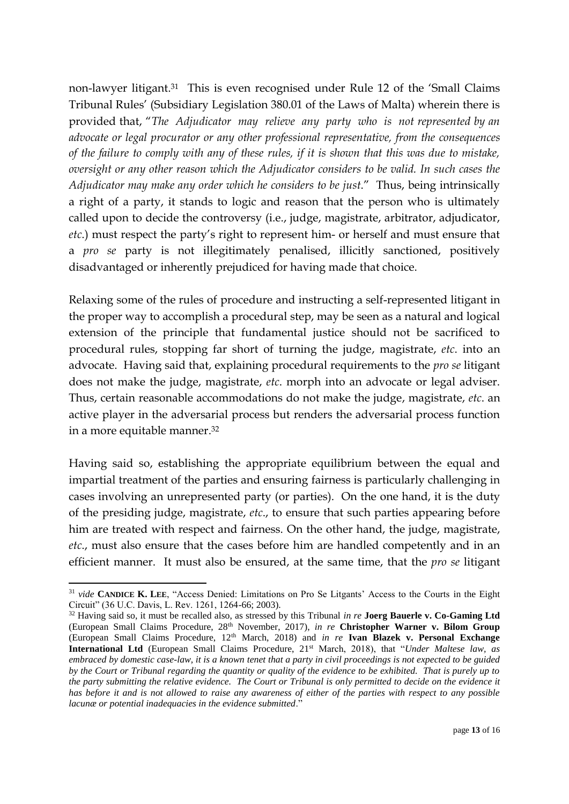non-lawyer litigant.31 This is even recognised under Rule 12 of the 'Small Claims Tribunal Rules' (Subsidiary Legislation 380.01 of the Laws of Malta) wherein there is provided that, "*The Adjudicator may relieve any party who is not represented by an advocate or legal procurator or any other professional representative, from the consequences of the failure to comply with any of these rules, if it is shown that this was due to mistake, oversight or any other reason which the Adjudicator considers to be valid. In such cases the Adjudicator may make any order which he considers to be just*." Thus, being intrinsically a right of a party, it stands to logic and reason that the person who is ultimately called upon to decide the controversy (i.e., judge, magistrate, arbitrator, adjudicator, *etc*.) must respect the party's right to represent him- or herself and must ensure that a *pro se* party is not illegitimately penalised, illicitly sanctioned, positively disadvantaged or inherently prejudiced for having made that choice.

Relaxing some of the rules of procedure and instructing a self-represented litigant in the proper way to accomplish a procedural step, may be seen as a natural and logical extension of the principle that fundamental justice should not be sacrificed to procedural rules, stopping far short of turning the judge, magistrate, *etc*. into an advocate. Having said that, explaining procedural requirements to the *pro se* litigant does not make the judge, magistrate, *etc*. morph into an advocate or legal adviser. Thus, certain reasonable accommodations do not make the judge, magistrate, *etc*. an active player in the adversarial process but renders the adversarial process function in a more equitable manner. 32

Having said so, establishing the appropriate equilibrium between the equal and impartial treatment of the parties and ensuring fairness is particularly challenging in cases involving an unrepresented party (or parties). On the one hand, it is the duty of the presiding judge, magistrate, *etc*., to ensure that such parties appearing before him are treated with respect and fairness. On the other hand, the judge, magistrate, *etc*., must also ensure that the cases before him are handled competently and in an efficient manner. It must also be ensured, at the same time, that the *pro se* litigant

<sup>1</sup> <sup>31</sup> *vide* **CANDICE K. LEE**, "Access Denied: Limitations on Pro Se Litgants' Access to the Courts in the Eight Circuit" (36 U.C. Davis, L. Rev. 1261, 1264-66; 2003).

<sup>32</sup> Having said so, it must be recalled also, as stressed by this Tribunal *in re* **Joerg Bauerle v. Co-Gaming Ltd** (European Small Claims Procedure, 28th November, 2017), *in re* **Christopher Warner v. Bilom Group** (European Small Claims Procedure, 12th March, 2018) and *in re* **Ivan Blazek v. Personal Exchange International Ltd** (European Small Claims Procedure, 21st March, 2018), that "*Under Maltese law, as embraced by domestic case-law, it is a known tenet that a party in civil proceedings is not expected to be guided by the Court or Tribunal regarding the quantity or quality of the evidence to be exhibited. That is purely up to the party submitting the relative evidence. The Court or Tribunal is only permitted to decide on the evidence it has before it and is not allowed to raise any awareness of either of the parties with respect to any possible lacunæ or potential inadequacies in the evidence submitted*."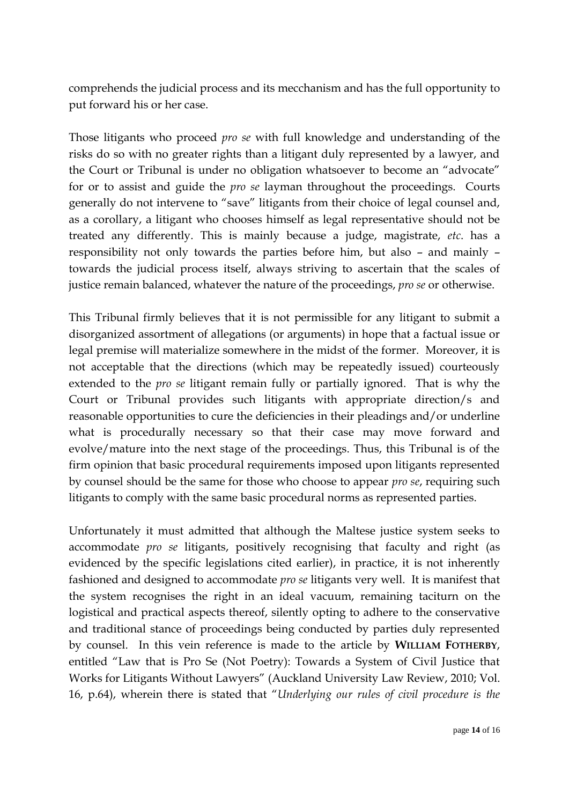comprehends the judicial process and its mecchanism and has the full opportunity to put forward his or her case.

Those litigants who proceed *pro se* with full knowledge and understanding of the risks do so with no greater rights than a litigant duly represented by a lawyer, and the Court or Tribunal is under no obligation whatsoever to become an "advocate" for or to assist and guide the *pro se* layman throughout the proceedings. Courts generally do not intervene to "save" litigants from their choice of legal counsel and, as a corollary, a litigant who chooses himself as legal representative should not be treated any differently. This is mainly because a judge, magistrate, *etc*. has a responsibility not only towards the parties before him, but also – and mainly – towards the judicial process itself, always striving to ascertain that the scales of justice remain balanced, whatever the nature of the proceedings, *pro se* or otherwise.

This Tribunal firmly believes that it is not permissible for any litigant to submit a disorganized assortment of allegations (or arguments) in hope that a factual issue or legal premise will materialize somewhere in the midst of the former. Moreover, it is not acceptable that the directions (which may be repeatedly issued) courteously extended to the *pro se* litigant remain fully or partially ignored. That is why the Court or Tribunal provides such litigants with appropriate direction/s and reasonable opportunities to cure the deficiencies in their pleadings and/or underline what is procedurally necessary so that their case may move forward and evolve/mature into the next stage of the proceedings. Thus, this Tribunal is of the firm opinion that basic procedural requirements imposed upon litigants represented by counsel should be the same for those who choose to appear *pro se*, requiring such litigants to comply with the same basic procedural norms as represented parties.

Unfortunately it must admitted that although the Maltese justice system seeks to accommodate *pro se* litigants, positively recognising that faculty and right (as evidenced by the specific legislations cited earlier), in practice, it is not inherently fashioned and designed to accommodate *pro se* litigants very well. It is manifest that the system recognises the right in an ideal vacuum, remaining taciturn on the logistical and practical aspects thereof, silently opting to adhere to the conservative and traditional stance of proceedings being conducted by parties duly represented by counsel. In this vein reference is made to the article by **WILLIAM FOTHERBY**, entitled "Law that is Pro Se (Not Poetry): Towards a System of Civil Justice that Works for Litigants Without Lawyers" (Auckland University Law Review, 2010; Vol. 16, p.64), wherein there is stated that "*Underlying our rules of civil procedure is the*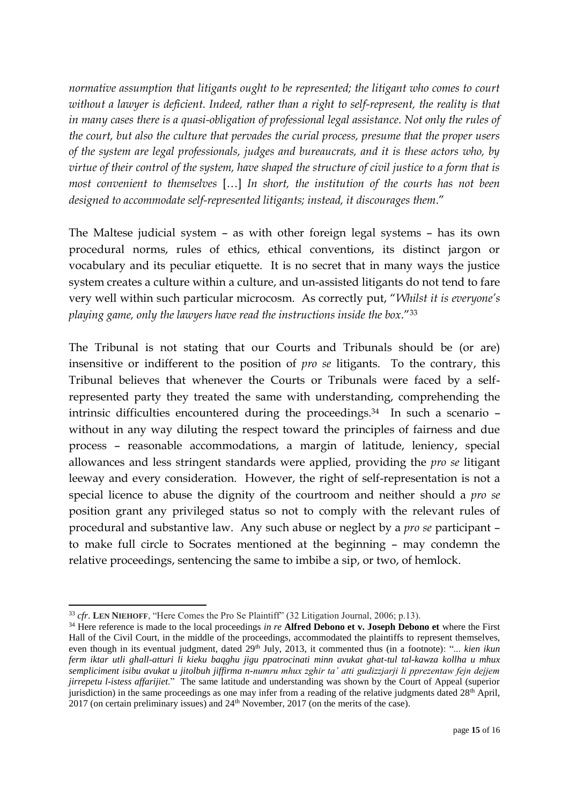*normative assumption that litigants ought to be represented; the litigant who comes to court without a lawyer is deficient. Indeed, rather than a right to self-represent, the reality is that in many cases there is a quasi-obligation of professional legal assistance. Not only the rules of the court, but also the culture that pervades the curial process, presume that the proper users of the system are legal professionals, judges and bureaucrats, and it is these actors who, by virtue of their control of the system, have shaped the structure of civil justice to a form that is most convenient to themselves* […] *In short, the institution of the courts has not been designed to accommodate self-represented litigants; instead, it discourages them*."

The Maltese judicial system – as with other foreign legal systems – has its own procedural norms, rules of ethics, ethical conventions, its distinct jargon or vocabulary and its peculiar etiquette. It is no secret that in many ways the justice system creates a culture within a culture, and un-assisted litigants do not tend to fare very well within such particular microcosm. As correctly put, "*Whilst it is everyone's playing game, only the lawyers have read the instructions inside the box*."<sup>33</sup>

The Tribunal is not stating that our Courts and Tribunals should be (or are) insensitive or indifferent to the position of *pro se* litigants. To the contrary, this Tribunal believes that whenever the Courts or Tribunals were faced by a selfrepresented party they treated the same with understanding, comprehending the intrinsic difficulties encountered during the proceedings.34 In such a scenario – without in any way diluting the respect toward the principles of fairness and due process – reasonable accommodations, a margin of latitude, leniency, special allowances and less stringent standards were applied, providing the *pro se* litigant leeway and every consideration. However, the right of self-representation is not a special licence to abuse the dignity of the courtroom and neither should a *pro se* position grant any privileged status so not to comply with the relevant rules of procedural and substantive law. Any such abuse or neglect by a *pro se* participant – to make full circle to Socrates mentioned at the beginning – may condemn the relative proceedings, sentencing the same to imbibe a sip, or two, of hemlock.

1

<sup>33</sup> *cfr*. **LEN NIEHOFF**, "Here Comes the Pro Se Plaintiff" (32 Litigation Journal, 2006; p.13).

<sup>34</sup> Here reference is made to the local proceedings *in re* **Alfred Debono et v. Joseph Debono et** where the First Hall of the Civil Court, in the middle of the proceedings, accommodated the plaintiffs to represent themselves, even though in its eventual judgment, dated 29<sup>th</sup> July, 2013, it commented thus (in a footnote): "... *kien ikun ferm iktar utli ghall-atturi li kieku baqghu jigu ppatrocinati minn avukat ghat-tul tal-kawza kollha u mhux sempliciment isibu avukat u jitolbuh jiffirma n-numru mhux zghir ta' atti gudizzjarji li pprezentaw fejn dejjem jirrepetu l-istess affarijiet*." The same latitude and understanding was shown by the Court of Appeal (superior jurisdiction) in the same proceedings as one may infer from a reading of the relative judgments dated 28<sup>th</sup> April,  $2017$  (on certain preliminary issues) and  $24<sup>th</sup>$  November, 2017 (on the merits of the case).